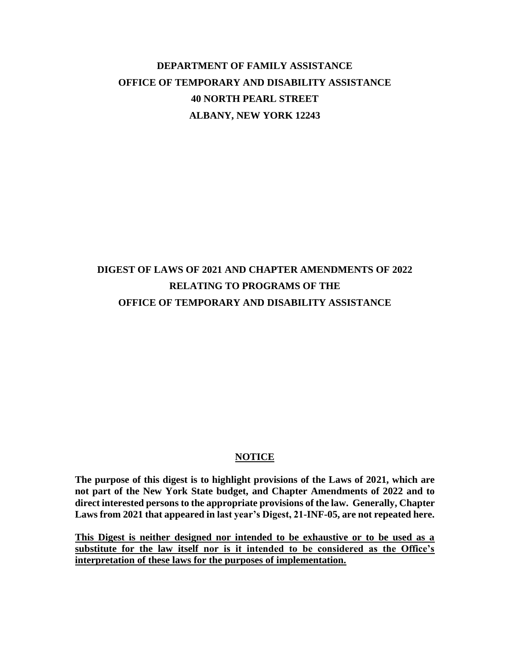# **DEPARTMENT OF FAMILY ASSISTANCE OFFICE OF TEMPORARY AND DISABILITY ASSISTANCE 40 NORTH PEARL STREET ALBANY, NEW YORK 12243**

# **DIGEST OF LAWS OF 2021 AND CHAPTER AMENDMENTS OF 2022 RELATING TO PROGRAMS OF THE OFFICE OF TEMPORARY AND DISABILITY ASSISTANCE**

## **NOTICE**

**The purpose of this digest is to highlight provisions of the Laws of 2021, which are not part of the New York State budget, and Chapter Amendments of 2022 and to direct interested persons to the appropriate provisions of the law. Generally, Chapter Laws from 2021 that appeared in last year's Digest, 21-INF-05, are not repeated here.** 

**This Digest is neither designed nor intended to be exhaustive or to be used as a substitute for the law itself nor is it intended to be considered as the Office's interpretation of these laws for the purposes of implementation.**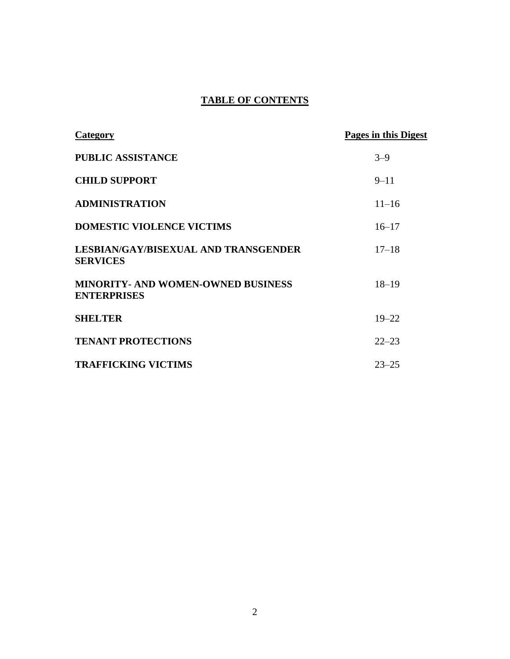# **TABLE OF CONTENTS**

| <b>Category</b>                                                 | <b>Pages in this Digest</b> |
|-----------------------------------------------------------------|-----------------------------|
| <b>PUBLIC ASSISTANCE</b>                                        | $3 - 9$                     |
| <b>CHILD SUPPORT</b>                                            | $9 - 11$                    |
| <b>ADMINISTRATION</b>                                           | $11 - 16$                   |
| <b>DOMESTIC VIOLENCE VICTIMS</b>                                | $16 - 17$                   |
| <b>LESBIAN/GAY/BISEXUAL AND TRANSGENDER</b><br><b>SERVICES</b>  | $17 - 18$                   |
| <b>MINORITY- AND WOMEN-OWNED BUSINESS</b><br><b>ENTERPRISES</b> | $18 - 19$                   |
| <b>SHELTER</b>                                                  | $19 - 22$                   |
| <b>TENANT PROTECTIONS</b>                                       | $22 - 23$                   |
| <b>TRAFFICKING VICTIMS</b>                                      | $23 - 25$                   |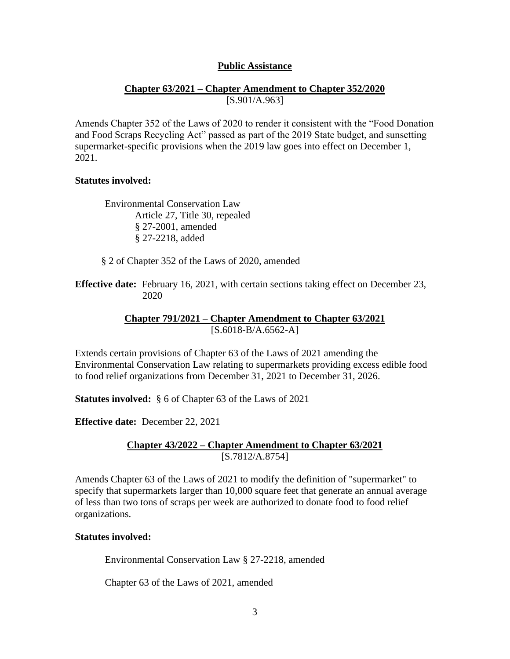## **Public Assistance**

## **Chapter 63/2021 – Chapter Amendment to Chapter 352/2020** [S.901/A.963]

Amends Chapter 352 of the Laws of 2020 to render it consistent with the "Food Donation and Food Scraps Recycling Act" passed as part of the 2019 State budget, and sunsetting supermarket-specific provisions when the 2019 law goes into effect on December 1, 2021.

#### **Statutes involved:**

Environmental Conservation Law Article 27, Title 30, repealed § 27-2001, amended § 27-2218, added

§ 2 of Chapter 352 of the Laws of 2020, amended

**Effective date:** February 16, 2021, with certain sections taking effect on December 23, 2020

## **Chapter 791/2021 – Chapter Amendment to Chapter 63/2021**  $[S.6018-B/A.6562-A]$

Extends certain provisions of Chapter 63 of the Laws of 2021 amending the Environmental Conservation Law relating to supermarkets providing excess edible food to food relief organizations from December 31, 2021 to December 31, 2026.

**Statutes involved:** § 6 of Chapter 63 of the Laws of 2021

**Effective date:** December 22, 2021

**Chapter 43/2022 – Chapter Amendment to Chapter 63/2021** [S.7812/A.8754]

Amends Chapter 63 of the Laws of 2021 to modify the definition of "supermarket" to specify that supermarkets larger than 10,000 square feet that generate an annual average of less than two tons of scraps per week are authorized to donate food to food relief organizations.

#### **Statutes involved:**

Environmental Conservation Law § 27-2218, amended

Chapter 63 of the Laws of 2021, amended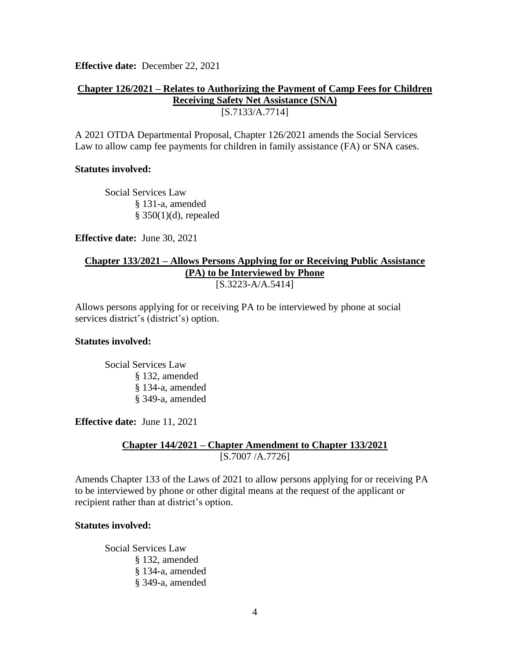**Effective date:** December 22, 2021

## **Chapter 126/2021 – Relates to Authorizing the Payment of Camp Fees for Children Receiving Safety Net Assistance (SNA)**  [S.7133/A.7714]

A 2021 OTDA Departmental Proposal, Chapter 126/2021 amends the Social Services Law to allow camp fee payments for children in family assistance (FA) or SNA cases.

#### **Statutes involved:**

Social Services Law § 131-a, amended § 350(1)(d), repealed

**Effective date:** June 30, 2021

### **Chapter 133/2021 – Allows Persons Applying for or Receiving Public Assistance (PA) to be Interviewed by Phone** [S.3223-A/A.5414]

Allows persons applying for or receiving PA to be interviewed by phone at social services district's (district's) option.

## **Statutes involved:**

Social Services Law § 132, amended § 134-a, amended § 349-a, amended

**Effective date:** June 11, 2021

**Chapter 144/2021 – Chapter Amendment to Chapter 133/2021** [S.7007 /A.7726]

Amends Chapter 133 of the Laws of 2021 to allow persons applying for or receiving PA to be interviewed by phone or other digital means at the request of the applicant or recipient rather than at district's option.

## **Statutes involved:**

Social Services Law § 132, amended § 134-a, amended § 349-a, amended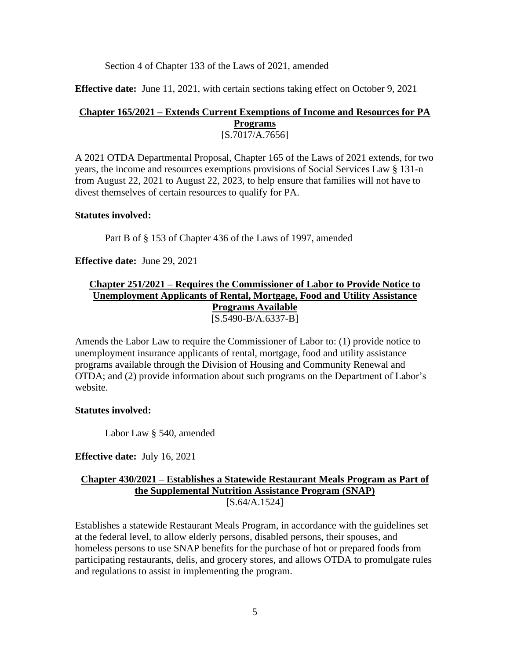Section 4 of Chapter 133 of the Laws of 2021, amended

**Effective date:** June 11, 2021, with certain sections taking effect on October 9, 2021

# **Chapter 165/2021 – Extends Current Exemptions of Income and Resources for PA Programs**

[S.7017/A.7656]

A 2021 OTDA Departmental Proposal, Chapter 165 of the Laws of 2021 extends, for two years, the income and resources exemptions provisions of Social Services Law § 131-n from August 22, 2021 to August 22, 2023, to help ensure that families will not have to divest themselves of certain resources to qualify for PA.

## **Statutes involved:**

Part B of § 153 of Chapter 436 of the Laws of 1997, amended

**Effective date:** June 29, 2021

## **Chapter 251/2021 – Requires the Commissioner of Labor to Provide Notice to Unemployment Applicants of Rental, Mortgage, Food and Utility Assistance Programs Available**  $[S.5490-B/A.6337-B]$

Amends the Labor Law to require the Commissioner of Labor to: (1) provide notice to unemployment insurance applicants of rental, mortgage, food and utility assistance programs available through the Division of Housing and Community Renewal and OTDA; and (2) provide information about such programs on the Department of Labor's website.

## **Statutes involved:**

Labor Law § 540, amended

**Effective date:** July 16, 2021

# **Chapter 430/2021 – Establishes a Statewide Restaurant Meals Program as Part of the Supplemental Nutrition Assistance Program (SNAP)** [S.64/A.1524]

Establishes a statewide Restaurant Meals Program, in accordance with the guidelines set at the federal level, to allow elderly persons, disabled persons, their spouses, and homeless persons to use SNAP benefits for the purchase of hot or prepared foods from participating restaurants, delis, and grocery stores, and allows OTDA to promulgate rules and regulations to assist in implementing the program.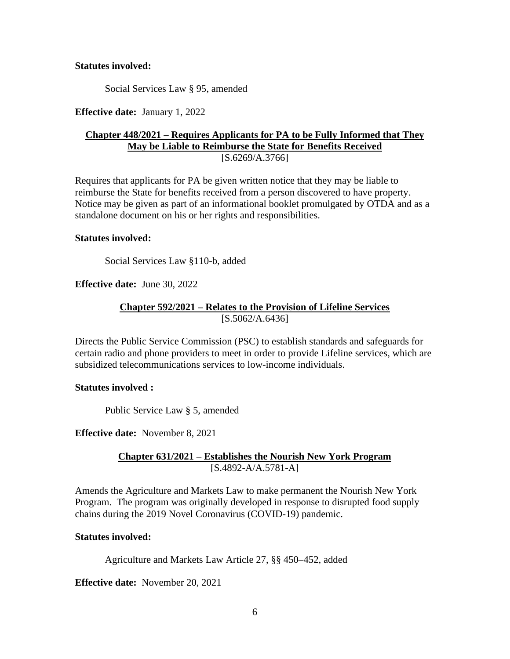Social Services Law § 95, amended

## **Effective date:** January 1, 2022

## **Chapter 448/2021 – Requires Applicants for PA to be Fully Informed that They May be Liable to Reimburse the State for Benefits Received** [S.6269/A.3766]

Requires that applicants for PA be given written notice that they may be liable to reimburse the State for benefits received from a person discovered to have property. Notice may be given as part of an informational booklet promulgated by OTDA and as a standalone document on his or her rights and responsibilities.

#### **Statutes involved:**

Social Services Law §110-b, added

## **Effective date:** June 30, 2022

# **Chapter 592/2021 – Relates to the Provision of Lifeline Services** [S.5062/A.6436]

Directs the Public Service Commission (PSC) to establish standards and safeguards for certain radio and phone providers to meet in order to provide Lifeline services, which are subsidized telecommunications services to low-income individuals.

#### **Statutes involved :**

Public Service Law § 5, amended

**Effective date:** November 8, 2021

## **Chapter 631/2021 – Establishes the Nourish New York Program** [S.4892-A/A.5781-A]

Amends the Agriculture and Markets Law to make permanent the Nourish New York Program. The program was originally developed in response to disrupted food supply chains during the 2019 Novel Coronavirus (COVID-19) pandemic.

#### **Statutes involved:**

Agriculture and Markets Law Article 27, §§ 450–452, added

**Effective date:** November 20, 2021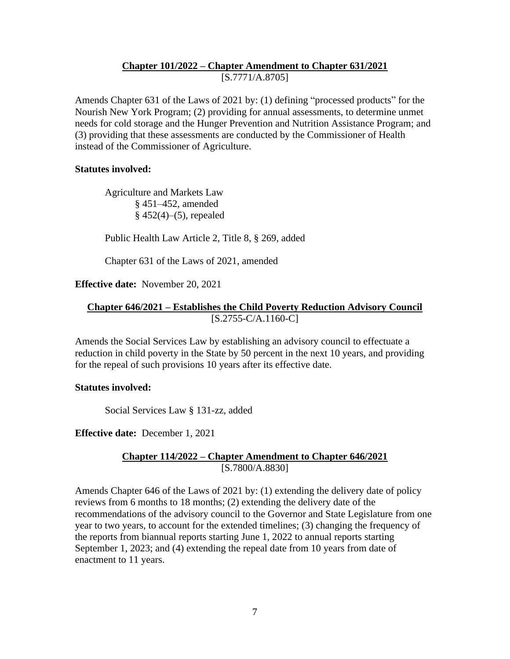## **Chapter 101/2022 – Chapter Amendment to Chapter 631/2021** [S.7771/A.8705]

Amends Chapter 631 of the Laws of 2021 by: (1) defining "processed products" for the Nourish New York Program; (2) providing for annual assessments, to determine unmet needs for cold storage and the Hunger Prevention and Nutrition Assistance Program; and (3) providing that these assessments are conducted by the Commissioner of Health instead of the Commissioner of Agriculture.

## **Statutes involved:**

Agriculture and Markets Law § 451–452, amended § 452(4)–(5), repealed

Public Health Law Article 2, Title 8, § 269, added

Chapter 631 of the Laws of 2021, amended

**Effective date:** November 20, 2021

## **Chapter 646/2021 – Establishes the Child Poverty Reduction Advisory Council**  $[S.2755-C/A.1160-C]$

Amends the Social Services Law by establishing an advisory council to effectuate a reduction in child poverty in the State by 50 percent in the next 10 years, and providing for the repeal of such provisions 10 years after its effective date.

## **Statutes involved:**

Social Services Law § 131-zz, added

**Effective date:** December 1, 2021

## **Chapter 114/2022 – Chapter Amendment to Chapter 646/2021** [S.7800/A.8830]

Amends Chapter 646 of the Laws of 2021 by: (1) extending the delivery date of policy reviews from 6 months to 18 months; (2) extending the delivery date of the recommendations of the advisory council to the Governor and State Legislature from one year to two years, to account for the extended timelines; (3) changing the frequency of the reports from biannual reports starting June 1, 2022 to annual reports starting September 1, 2023; and (4) extending the repeal date from 10 years from date of enactment to 11 years.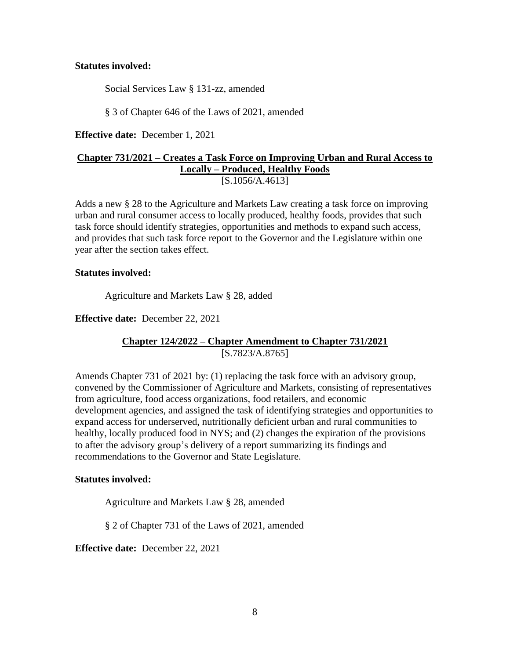Social Services Law § 131-zz, amended

§ 3 of Chapter 646 of the Laws of 2021, amended

**Effective date:** December 1, 2021

## **Chapter 731/2021 – Creates a Task Force on Improving Urban and Rural Access to Locally – Produced, Healthy Foods** [S.1056/A.4613]

Adds a new § 28 to the Agriculture and Markets Law creating a task force on improving urban and rural consumer access to locally produced, healthy foods, provides that such task force should identify strategies, opportunities and methods to expand such access, and provides that such task force report to the Governor and the Legislature within one year after the section takes effect.

## **Statutes involved:**

Agriculture and Markets Law § 28, added

**Effective date:** December 22, 2021

## **Chapter 124/2022 – Chapter Amendment to Chapter 731/2021** [S.7823/A.8765]

Amends Chapter 731 of 2021 by: (1) replacing the task force with an advisory group, convened by the Commissioner of Agriculture and Markets, consisting of representatives from agriculture, food access organizations, food retailers, and economic development agencies, and assigned the task of identifying strategies and opportunities to expand access for underserved, nutritionally deficient urban and rural communities to healthy, locally produced food in NYS; and (2) changes the expiration of the provisions to after the advisory group's delivery of a report summarizing its findings and recommendations to the Governor and State Legislature.

## **Statutes involved:**

Agriculture and Markets Law § 28, amended

§ 2 of Chapter 731 of the Laws of 2021, amended

**Effective date:** December 22, 2021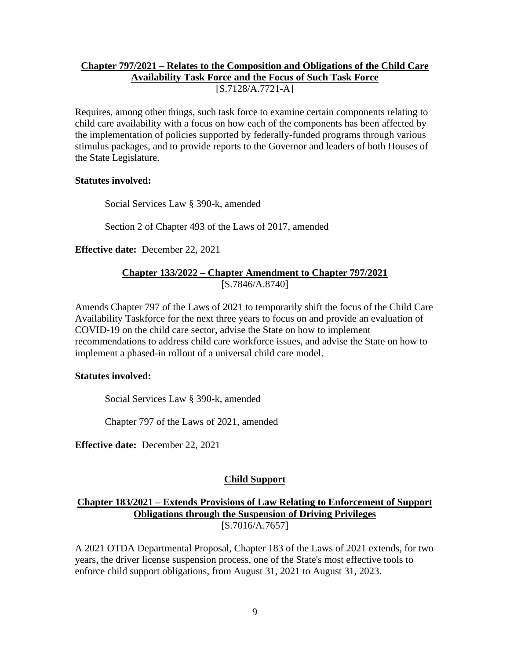# **Chapter 797/2021 – Relates to the Composition and Obligations of the Child Care Availability Task Force and the Focus of Such Task Force**

[S.7128/A.7721-A]

Requires, among other things, such task force to examine certain components relating to child care availability with a focus on how each of the components has been affected by the implementation of policies supported by federally-funded programs through various stimulus packages, and to provide reports to the Governor and leaders of both Houses of the State Legislature.

## **Statutes involved:**

Social Services Law § 390-k, amended

Section 2 of Chapter 493 of the Laws of 2017, amended

**Effective date:** December 22, 2021

## **Chapter 133/2022 – Chapter Amendment to Chapter 797/2021** [S.7846/A.8740]

Amends Chapter 797 of the Laws of 2021 to temporarily shift the focus of the Child Care Availability Taskforce for the next three years to focus on and provide an evaluation of COVID-19 on the child care sector, advise the State on how to implement recommendations to address child care workforce issues, and advise the State on how to implement a phased-in rollout of a universal child care model.

## **Statutes involved:**

Social Services Law § 390-k, amended

Chapter 797 of the Laws of 2021, amended

**Effective date:** December 22, 2021

# **Child Support**

# **Chapter 183/2021 – Extends Provisions of Law Relating to Enforcement of Support Obligations through the Suspension of Driving Privileges** [S.7016/A.7657]

A 2021 OTDA Departmental Proposal, Chapter 183 of the Laws of 2021 extends, for two years, the driver license suspension process, one of the State's most effective tools to enforce child support obligations, from August 31, 2021 to August 31, 2023.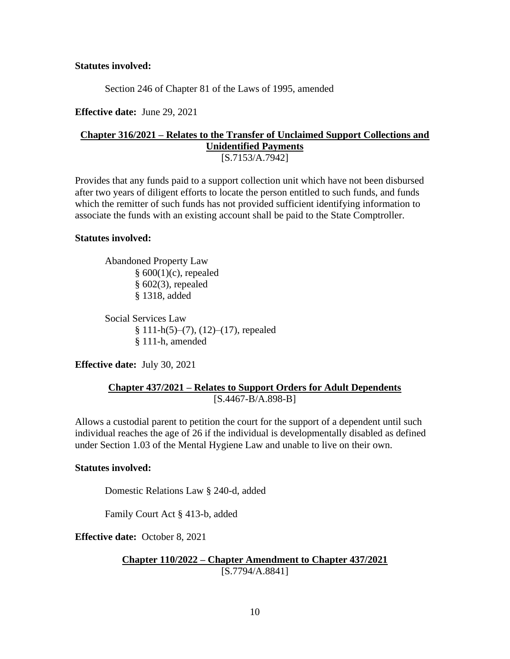Section 246 of Chapter 81 of the Laws of 1995, amended

**Effective date:** June 29, 2021

## **Chapter 316/2021 – Relates to the Transfer of Unclaimed Support Collections and Unidentified Payments** [S.7153/A.7942]

Provides that any funds paid to a support collection unit which have not been disbursed after two years of diligent efforts to locate the person entitled to such funds, and funds which the remitter of such funds has not provided sufficient identifying information to associate the funds with an existing account shall be paid to the State Comptroller.

#### **Statutes involved:**

Abandoned Property Law § 600(1)(c), repealed § 602(3), repealed § 1318, added

Social Services Law § 111-h(5)–(7), (12)–(17), repealed § 111-h, amended

**Effective date:** July 30, 2021

## **Chapter 437/2021 – Relates to Support Orders for Adult Dependents** [S.4467-B/A.898-B]

Allows a custodial parent to petition the court for the support of a dependent until such individual reaches the age of 26 if the individual is developmentally disabled as defined under Section 1.03 of the Mental Hygiene Law and unable to live on their own.

#### **Statutes involved:**

Domestic Relations Law § 240-d, added

Family Court Act § 413-b, added

## **Effective date:** October 8, 2021

# **Chapter 110/2022 – Chapter Amendment to Chapter 437/2021**

[S.7794/A.8841]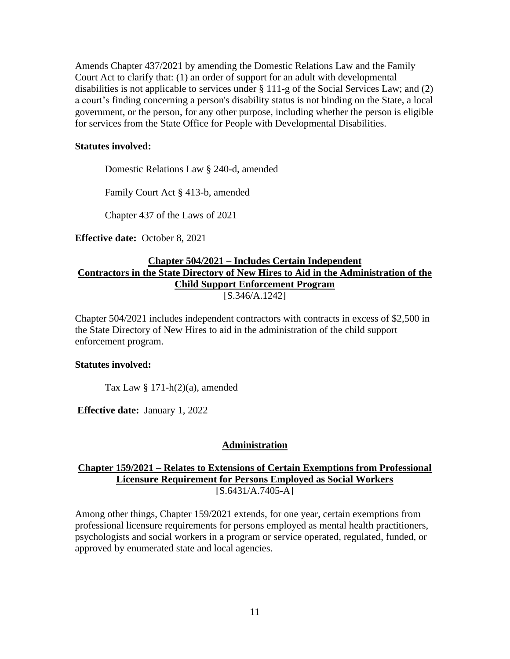Amends Chapter 437/2021 by amending the Domestic Relations Law and the Family Court Act to clarify that: (1) an order of support for an adult with developmental disabilities is not applicable to services under § 111-g of the Social Services Law; and (2) a court's finding concerning a person's disability status is not binding on the State, a local government, or the person, for any other purpose, including whether the person is eligible for services from the State Office for People with Developmental Disabilities.

## **Statutes involved:**

Domestic Relations Law § 240-d, amended

Family Court Act § 413-b, amended

Chapter 437 of the Laws of 2021

# **Effective date:** October 8, 2021

## **Chapter 504/2021 – Includes Certain Independent Contractors in the State Directory of New Hires to Aid in the Administration of the Child Support Enforcement Program** [S.346/A.1242]

Chapter 504/2021 includes independent contractors with contracts in excess of \$2,500 in the State Directory of New Hires to aid in the administration of the child support enforcement program.

## **Statutes involved:**

Tax Law  $\S 171-h(2)(a)$ , amended

**Effective date:** January 1, 2022

# **Administration**

## **Chapter 159/2021 – Relates to Extensions of Certain Exemptions from Professional Licensure Requirement for Persons Employed as Social Workers**   $[S.6431/A.7405-A]$

Among other things, Chapter 159/2021 extends, for one year, certain exemptions from professional licensure requirements for persons employed as mental health practitioners, psychologists and social workers in a program or service operated, regulated, funded, or approved by enumerated state and local agencies.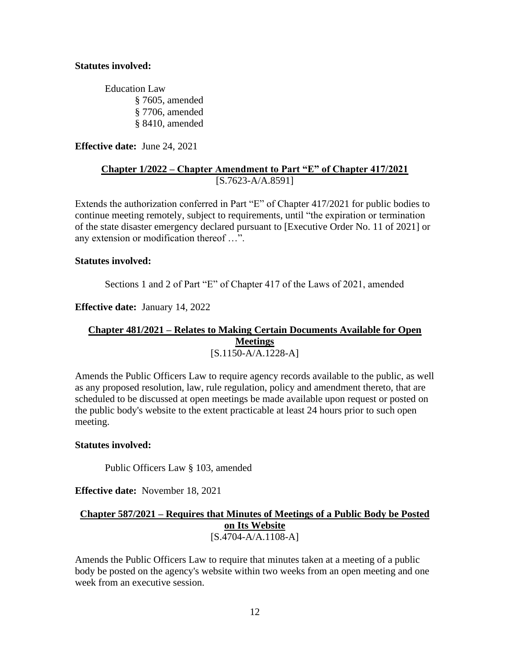Education Law § 7605, amended § 7706, amended § 8410, amended

#### **Effective date:** June 24, 2021

## **Chapter 1/2022 – Chapter Amendment to Part "E" of Chapter 417/2021** [S.7623-A/A.8591]

Extends the authorization conferred in Part "E" of Chapter 417/2021 for public bodies to continue meeting remotely, subject to requirements, until "the expiration or termination of the state disaster emergency declared pursuant to [Executive Order No. 11 of 2021] or any extension or modification thereof …".

#### **Statutes involved:**

Sections 1 and 2 of Part "E" of Chapter 417 of the Laws of 2021, amended

**Effective date:** January 14, 2022

#### **Chapter 481/2021 – Relates to Making Certain Documents Available for Open Meetings** [S.1150-A/A.1228-A]

Amends the Public Officers Law to require agency records available to the public, as well as any proposed resolution, law, rule regulation, policy and amendment thereto, that are scheduled to be discussed at open meetings be made available upon request or posted on the public body's website to the extent practicable at least 24 hours prior to such open meeting.

#### **Statutes involved:**

Public Officers Law § 103, amended

**Effective date:** November 18, 2021

#### **Chapter 587/2021 – Requires that Minutes of Meetings of a Public Body be Posted on Its Website** [S.4704-A/A.1108-A]

Amends the Public Officers Law to require that minutes taken at a meeting of a public body be posted on the agency's website within two weeks from an open meeting and one week from an executive session.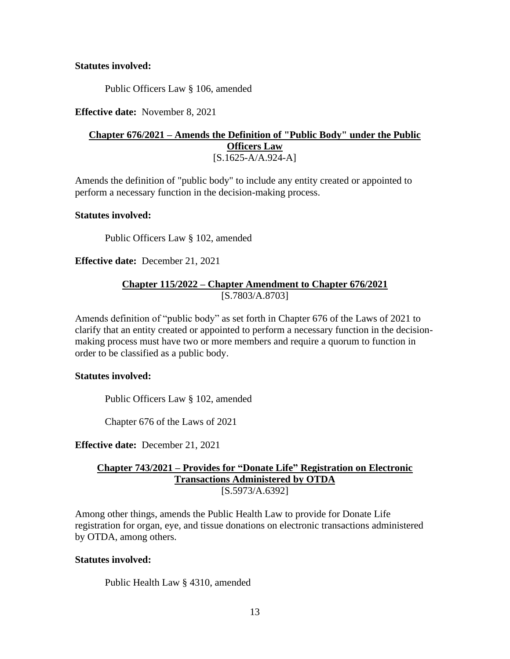Public Officers Law § 106, amended

**Effective date:** November 8, 2021

## **Chapter 676/2021 – Amends the Definition of "Public Body" under the Public Officers Law**  $[S.1625-A/A.924-A]$

Amends the definition of "public body" to include any entity created or appointed to perform a necessary function in the decision-making process.

## **Statutes involved:**

Public Officers Law § 102, amended

**Effective date:** December 21, 2021

## **Chapter 115/2022 – Chapter Amendment to Chapter 676/2021**  [S.7803/A.8703]

Amends definition of "public body" as set forth in Chapter 676 of the Laws of 2021 to clarify that an entity created or appointed to perform a necessary function in the decisionmaking process must have two or more members and require a quorum to function in order to be classified as a public body.

## **Statutes involved:**

Public Officers Law § 102, amended

Chapter 676 of the Laws of 2021

**Effective date:** December 21, 2021

## **Chapter 743/2021 – Provides for "Donate Life" Registration on Electronic Transactions Administered by OTDA** [S.5973/A.6392]

Among other things, amends the Public Health Law to provide for Donate Life registration for organ, eye, and tissue donations on electronic transactions administered by OTDA, among others.

## **Statutes involved:**

Public Health Law § 4310, amended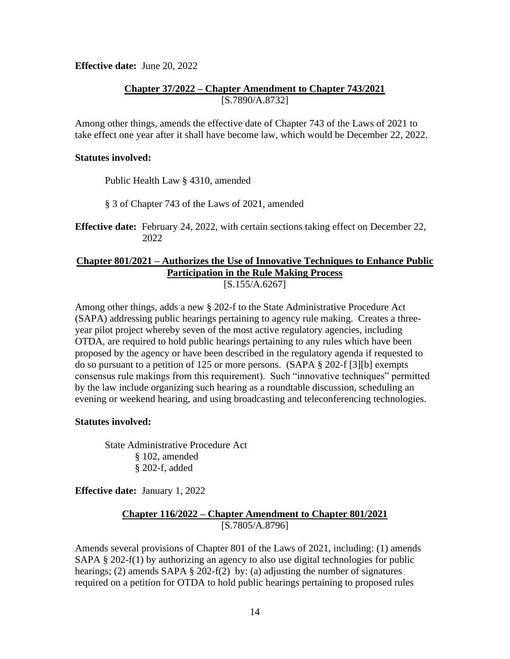**Effective date:** June 20, 2022

# **Chapter 37/2022 – Chapter Amendment to Chapter 743/2021** [S.7890/A.8732]

Among other things, amends the effective date of Chapter 743 of the Laws of 2021 to take effect one year after it shall have become law, which would be December 22, 2022.

#### **Statutes involved:**

Public Health Law § 4310, amended

§ 3 of Chapter 743 of the Laws of 2021, amended

**Effective date:** February 24, 2022, with certain sections taking effect on December 22, 2022

#### **Chapter 801/2021 – Authorizes the Use of Innovative Techniques to Enhance Public Participation in the Rule Making Process** [S.155/A.6267]

Among other things, adds a new § 202-f to the State Administrative Procedure Act (SAPA) addressing public hearings pertaining to agency rule making. Creates a threeyear pilot project whereby seven of the most active regulatory agencies, including OTDA, are required to hold public hearings pertaining to any rules which have been proposed by the agency or have been described in the regulatory agenda if requested to do so pursuant to a petition of 125 or more persons. (SAPA § 202-f [3][b] exempts consensus rule makings from this requirement). Such "innovative techniques" permitted by the law include organizing such hearing as a roundtable discussion, scheduling an evening or weekend hearing, and using broadcasting and teleconferencing technologies.

## **Statutes involved:**

State Administrative Procedure Act § 102, amended § 202-f, added

**Effective date:** January 1, 2022

## **Chapter 116/2022 – Chapter Amendment to Chapter 801/2021** [S.7805/A.8796]

Amends several provisions of Chapter 801 of the Laws of 2021, including: (1) amends SAPA § 202-f(1) by authorizing an agency to also use digital technologies for public hearings; (2) amends SAPA  $\S 202-f(2)$  by: (a) adjusting the number of signatures required on a petition for OTDA to hold public hearings pertaining to proposed rules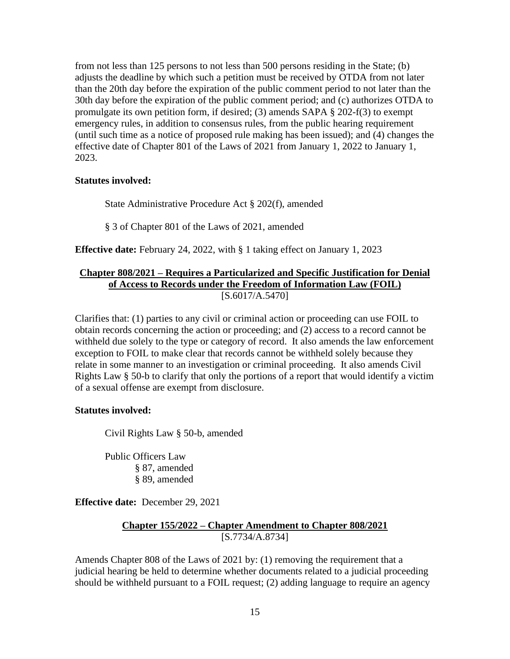from not less than 125 persons to not less than 500 persons residing in the State; (b) adjusts the deadline by which such a petition must be received by OTDA from not later than the 20th day before the expiration of the public comment period to not later than the 30th day before the expiration of the public comment period; and (c) authorizes OTDA to promulgate its own petition form, if desired; (3) amends SAPA § 202-f(3) to exempt emergency rules, in addition to consensus rules, from the public hearing requirement (until such time as a notice of proposed rule making has been issued); and (4) changes the effective date of Chapter 801 of the Laws of 2021 from January 1, 2022 to January 1, 2023.

## **Statutes involved:**

State Administrative Procedure Act § 202(f), amended

§ 3 of Chapter 801 of the Laws of 2021, amended

**Effective date:** February 24, 2022, with § 1 taking effect on January 1, 2023

## **Chapter 808/2021 – Requires a Particularized and Specific Justification for Denial of Access to Records under the Freedom of Information Law (FOIL)** [S.6017/A.5470]

Clarifies that: (1) parties to any civil or criminal action or proceeding can use FOIL to obtain records concerning the action or proceeding; and (2) access to a record cannot be withheld due solely to the type or category of record. It also amends the law enforcement exception to FOIL to make clear that records cannot be withheld solely because they relate in some manner to an investigation or criminal proceeding. It also amends Civil Rights Law § 50-b to clarify that only the portions of a report that would identify a victim of a sexual offense are exempt from disclosure.

# **Statutes involved:**

Civil Rights Law § 50-b, amended

Public Officers Law § 87, amended § 89, amended

**Effective date:** December 29, 2021

# **Chapter 155/2022 – Chapter Amendment to Chapter 808/2021** [S.7734/A.8734]

Amends Chapter 808 of the Laws of 2021 by: (1) removing the requirement that a judicial hearing be held to determine whether documents related to a judicial proceeding should be withheld pursuant to a FOIL request; (2) adding language to require an agency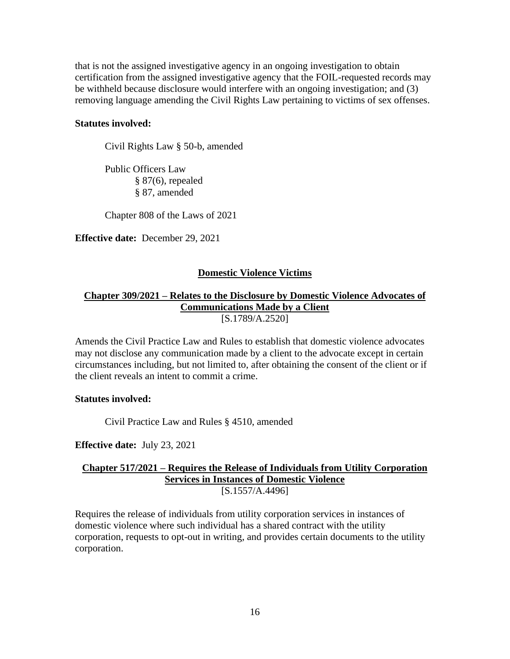that is not the assigned investigative agency in an ongoing investigation to obtain certification from the assigned investigative agency that the FOIL-requested records may be withheld because disclosure would interfere with an ongoing investigation; and (3) removing language amending the Civil Rights Law pertaining to victims of sex offenses.

#### **Statutes involved:**

Civil Rights Law § 50-b, amended

Public Officers Law § 87(6), repealed § 87, amended

Chapter 808 of the Laws of 2021

**Effective date:** December 29, 2021

#### **Domestic Violence Victims**

#### **Chapter 309/2021 – Relates to the Disclosure by Domestic Violence Advocates of Communications Made by a Client**  [S.1789/A.2520]

Amends the Civil Practice Law and Rules to establish that domestic violence advocates may not disclose any communication made by a client to the advocate except in certain circumstances including, but not limited to, after obtaining the consent of the client or if the client reveals an intent to commit a crime.

#### **Statutes involved:**

Civil Practice Law and Rules § 4510, amended

**Effective date:** July 23, 2021

#### **Chapter 517/2021 – Requires the Release of Individuals from Utility Corporation Services in Instances of Domestic Violence** [S.1557/A.4496]

Requires the release of individuals from utility corporation services in instances of domestic violence where such individual has a shared contract with the utility corporation, requests to opt-out in writing, and provides certain documents to the utility corporation.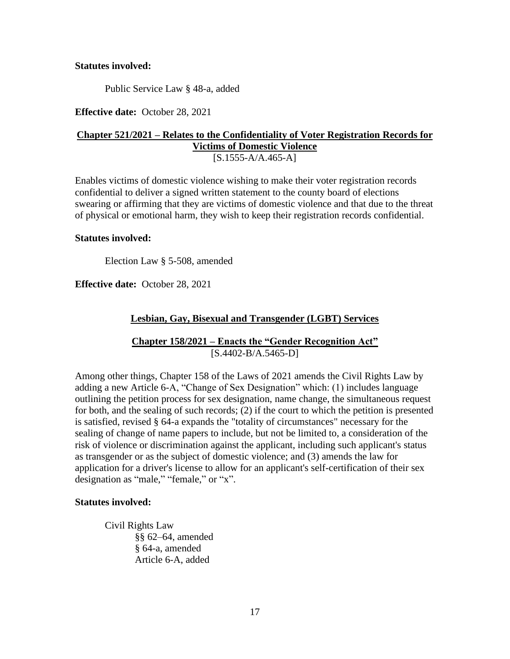Public Service Law § 48-a, added

**Effective date:** October 28, 2021

# **Chapter 521/2021 – Relates to the Confidentiality of Voter Registration Records for Victims of Domestic Violence**  $(S.1555-A/A.465-A)$

Enables victims of domestic violence wishing to make their voter registration records confidential to deliver a signed written statement to the county board of elections swearing or affirming that they are victims of domestic violence and that due to the threat

of physical or emotional harm, they wish to keep their registration records confidential.

#### **Statutes involved:**

Election Law § 5-508, amended

**Effective date:** October 28, 2021

#### **Lesbian, Gay, Bisexual and Transgender (LGBT) Services**

## **Chapter 158/2021 – Enacts the "Gender Recognition Act"**  $[S.4402-B/A.5465-D]$

Among other things, Chapter 158 of the Laws of 2021 amends the Civil Rights Law by adding a new Article 6-A, "Change of Sex Designation" which: (1) includes language outlining the petition process for sex designation, name change, the simultaneous request for both, and the sealing of such records; (2) if the court to which the petition is presented is satisfied, revised § 64-a expands the "totality of circumstances" necessary for the sealing of change of name papers to include, but not be limited to, a consideration of the risk of violence or discrimination against the applicant, including such applicant's status as transgender or as the subject of domestic violence; and (3) amends the law for application for a driver's license to allow for an applicant's self-certification of their sex designation as "male," "female," or "x".

#### **Statutes involved:**

Civil Rights Law §§ 62–64, amended § 64-a, amended Article 6-A, added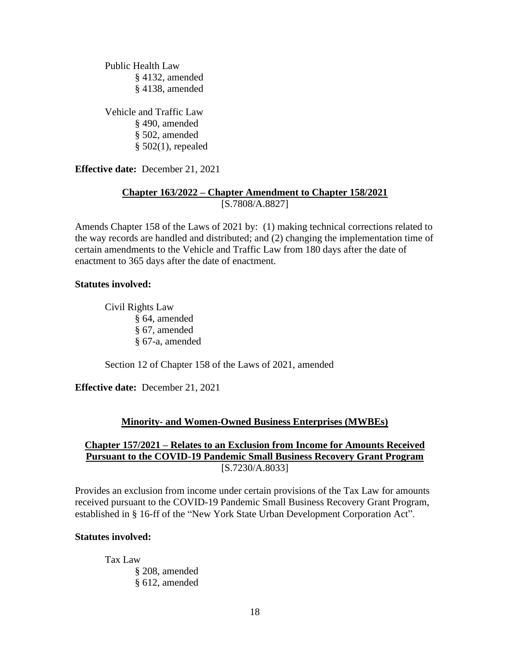Public Health Law § 4132, amended § 4138, amended

Vehicle and Traffic Law § 490, amended § 502, amended § 502(1), repealed

**Effective date:** December 21, 2021

# **Chapter 163/2022 – Chapter Amendment to Chapter 158/2021** [S.7808/A.8827]

Amends Chapter 158 of the Laws of 2021 by: (1) making technical corrections related to the way records are handled and distributed; and (2) changing the implementation time of certain amendments to the Vehicle and Traffic Law from 180 days after the date of enactment to 365 days after the date of enactment.

## **Statutes involved:**

Civil Rights Law § 64, amended § 67, amended § 67-a, amended

Section 12 of Chapter 158 of the Laws of 2021, amended

**Effective date:** December 21, 2021

# **Minority- and Women-Owned Business Enterprises (MWBEs)**

# **Chapter 157/2021 – Relates to an Exclusion from Income for Amounts Received Pursuant to the COVID-19 Pandemic Small Business Recovery Grant Program** [S.7230/A.8033]

Provides an exclusion from income under certain provisions of the Tax Law for amounts received pursuant to the COVID-19 Pandemic Small Business Recovery Grant Program, established in § 16-ff of the "New York State Urban Development Corporation Act".

## **Statutes involved:**

Tax Law § 208, amended § 612, amended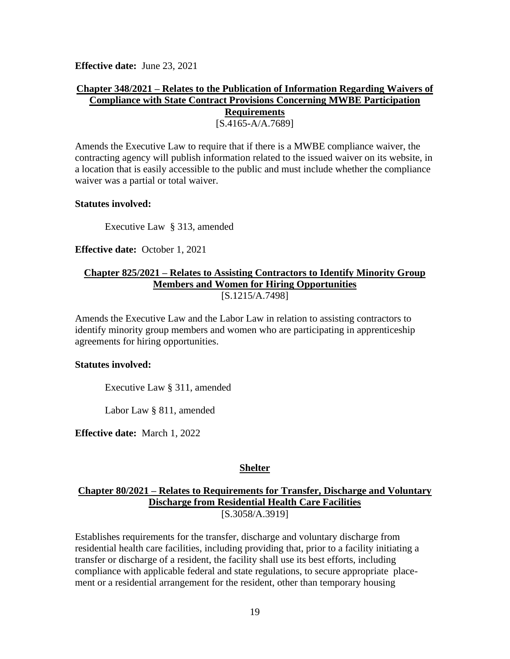**Effective date:** June 23, 2021

# **Chapter 348/2021 – Relates to the Publication of Information Regarding Waivers of Compliance with State Contract Provisions Concerning MWBE Participation Requirements**

[S.4165-A/A.7689]

Amends the Executive Law to require that if there is a MWBE compliance waiver, the contracting agency will publish information related to the issued waiver on its website, in a location that is easily accessible to the public and must include whether the compliance waiver was a partial or total waiver.

#### **Statutes involved:**

Executive Law § 313, amended

#### **Effective date:** October 1, 2021

#### **Chapter 825/2021 – Relates to Assisting Contractors to Identify Minority Group Members and Women for Hiring Opportunities** [S.1215/A.7498]

Amends the Executive Law and the Labor Law in relation to assisting contractors to identify minority group members and women who are participating in apprenticeship agreements for hiring opportunities.

#### **Statutes involved:**

Executive Law § 311, amended

Labor Law § 811, amended

**Effective date:** March 1, 2022

#### **Shelter**

#### **Chapter 80/2021 – Relates to Requirements for Transfer, Discharge and Voluntary Discharge from Residential Health Care Facilities** [S.3058/A.3919]

Establishes requirements for the transfer, discharge and voluntary discharge from residential health care facilities, including providing that, prior to a facility initiating a transfer or discharge of a resident, the facility shall use its best efforts, including compliance with applicable federal and state regulations, to secure appropriate placement or a residential arrangement for the resident, other than temporary housing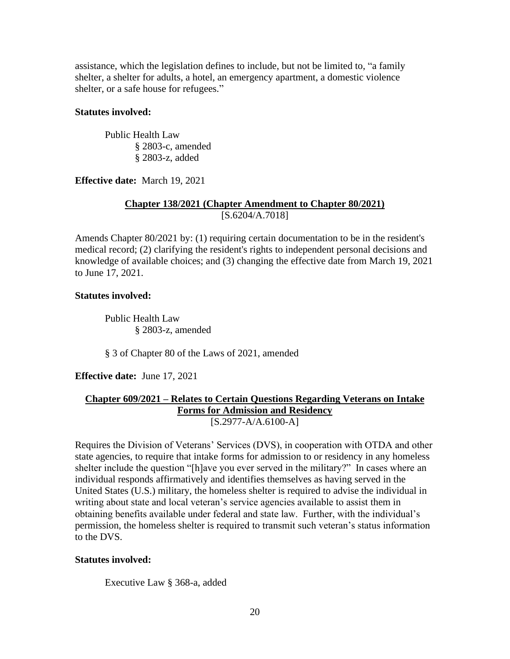assistance, which the legislation defines to include, but not be limited to, "a family shelter, a shelter for adults, a hotel, an emergency apartment, a domestic violence shelter, or a safe house for refugees."

#### **Statutes involved:**

Public Health Law § 2803-c, amended § 2803-z, added

**Effective date:** March 19, 2021

#### **Chapter 138/2021 (Chapter Amendment to Chapter 80/2021)** [S.6204/A.7018]

Amends Chapter 80/2021 by: (1) requiring certain documentation to be in the resident's medical record; (2) clarifying the resident's rights to independent personal decisions and knowledge of available choices; and (3) changing the effective date from March 19, 2021 to June 17, 2021.

#### **Statutes involved:**

Public Health Law § 2803-z, amended

§ 3 of Chapter 80 of the Laws of 2021, amended

**Effective date:** June 17, 2021

## **Chapter 609/2021 – Relates to Certain Questions Regarding Veterans on Intake Forms for Admission and Residency** [S.2977-A/A.6100-A]

Requires the Division of Veterans' Services (DVS), in cooperation with OTDA and other state agencies, to require that intake forms for admission to or residency in any homeless shelter include the question "[h]ave you ever served in the military?" In cases where an individual responds affirmatively and identifies themselves as having served in the United States (U.S.) military, the homeless shelter is required to advise the individual in writing about state and local veteran's service agencies available to assist them in obtaining benefits available under federal and state law. Further, with the individual's permission, the homeless shelter is required to transmit such veteran's status information to the DVS.

#### **Statutes involved:**

Executive Law § 368-a, added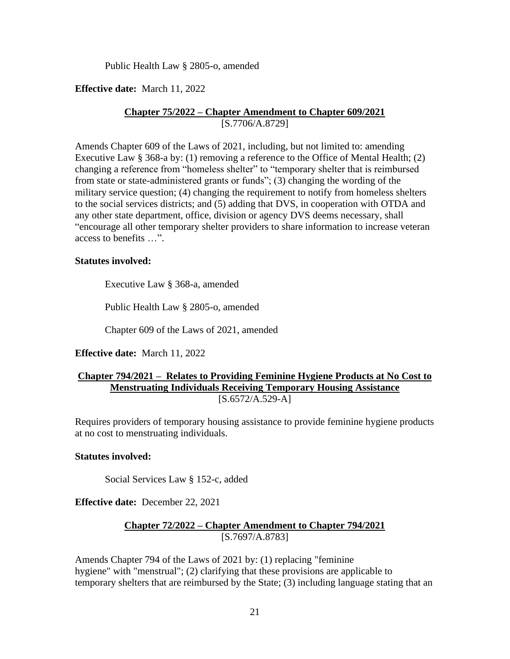Public Health Law § 2805-o, amended

## **Effective date:** March 11, 2022

## **Chapter 75/2022 – Chapter Amendment to Chapter 609/2021** [S.7706/A.8729]

Amends Chapter 609 of the Laws of 2021, including, but not limited to: amending Executive Law § 368-a by: (1) removing a reference to the Office of Mental Health; (2) changing a reference from "homeless shelter" to "temporary shelter that is reimbursed from state or state-administered grants or funds"; (3) changing the wording of the military service question; (4) changing the requirement to notify from homeless shelters to the social services districts; and (5) adding that DVS, in cooperation with OTDA and any other state department, office, division or agency DVS deems necessary, shall "encourage all other temporary shelter providers to share information to increase veteran access to benefits …".

#### **Statutes involved:**

Executive Law § 368-a, amended

Public Health Law § 2805-o, amended

Chapter 609 of the Laws of 2021, amended

## **Effective date:** March 11, 2022

## **Chapter 794/2021 – Relates to Providing Feminine Hygiene Products at No Cost to Menstruating Individuals Receiving Temporary Housing Assistance** [S.6572/A.529-A]

Requires providers of temporary housing assistance to provide feminine hygiene products at no cost to menstruating individuals.

#### **Statutes involved:**

Social Services Law § 152-c, added

**Effective date:** December 22, 2021

## **Chapter 72/2022 – Chapter Amendment to Chapter 794/2021** [S.7697/A.8783]

Amends Chapter 794 of the Laws of 2021 by: (1) replacing "feminine hygiene" with "menstrual"; (2) clarifying that these provisions are applicable to temporary shelters that are reimbursed by the State; (3) including language stating that an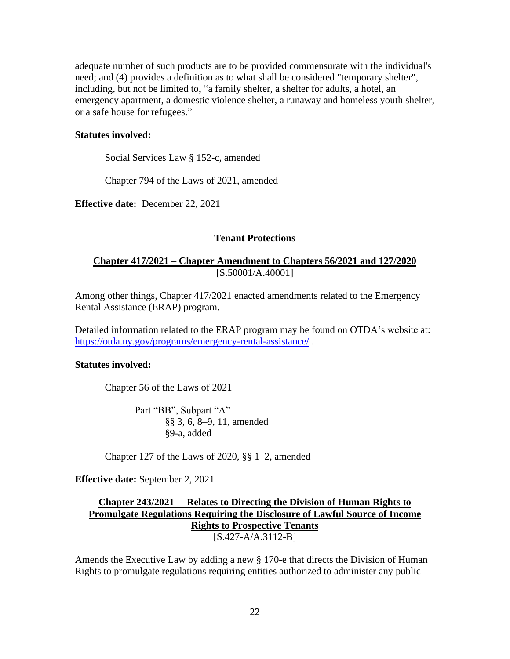adequate number of such products are to be provided commensurate with the individual's need; and (4) provides a definition as to what shall be considered "temporary shelter", including, but not be limited to, "a family shelter, a shelter for adults, a hotel, an emergency apartment, a domestic violence shelter, a runaway and homeless youth shelter, or a safe house for refugees."

#### **Statutes involved:**

Social Services Law § 152-c, amended

Chapter 794 of the Laws of 2021, amended

**Effective date:** December 22, 2021

## **Tenant Protections**

## **Chapter 417/2021 – Chapter Amendment to Chapters 56/2021 and 127/2020** [S.50001/A.40001]

Among other things, Chapter 417/2021 enacted amendments related to the Emergency Rental Assistance (ERAP) program.

Detailed information related to the ERAP program may be found on OTDA's website at: <https://otda.ny.gov/programs/emergency-rental-assistance/> .

#### **Statutes involved:**

Chapter 56 of the Laws of 2021

Part "BB", Subpart "A" §§ 3, 6, 8–9, 11, amended §9-a, added

Chapter 127 of the Laws of 2020, §§ 1–2, amended

**Effective date:** September 2, 2021

#### **Chapter 243/2021 – Relates to Directing the Division of Human Rights to Promulgate Regulations Requiring the Disclosure of Lawful Source of Income Rights to Prospective Tenants** [S.427-A/A.3112-B]

Amends the Executive Law by adding a new § 170-e that directs the Division of Human Rights to promulgate regulations requiring entities authorized to administer any public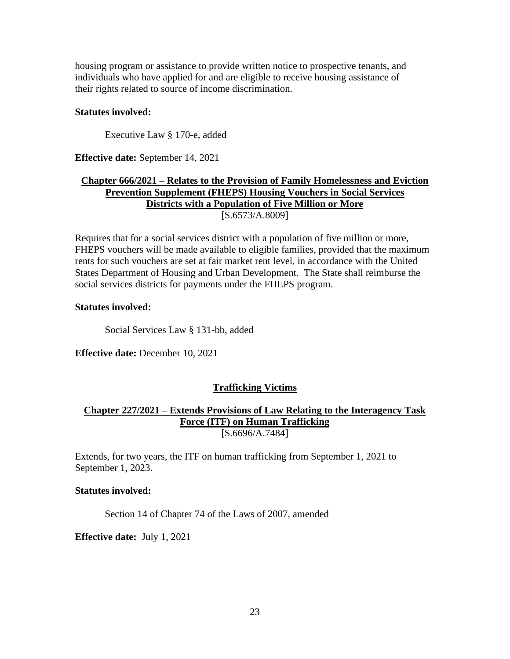housing program or assistance to provide written notice to prospective tenants, and individuals who have applied for and are eligible to receive housing assistance of their rights related to source of income discrimination.

#### **Statutes involved:**

Executive Law § 170-e, added

**Effective date:** September 14, 2021

# **Chapter 666/2021 – Relates to the Provision of Family Homelessness and Eviction Prevention Supplement (FHEPS) Housing Vouchers in Social Services Districts with a Population of Five Million or More** [S.6573/A.8009]

Requires that for a social services district with a population of five million or more, FHEPS vouchers will be made available to eligible families, provided that the maximum rents for such vouchers are set at fair market rent level, in accordance with the United States Department of Housing and Urban Development. The State shall reimburse the social services districts for payments under the FHEPS program.

## **Statutes involved:**

Social Services Law § 131-bb, added

**Effective date:** December 10, 2021

# **Trafficking Victims**

## **Chapter 227/2021 – Extends Provisions of Law Relating to the Interagency Task Force (ITF) on Human Trafficking** [S.6696/A.7484]

Extends, for two years, the ITF on human trafficking from September 1, 2021 to September 1, 2023.

#### **Statutes involved:**

Section 14 of Chapter 74 of the Laws of 2007, amended

**Effective date:** July 1, 2021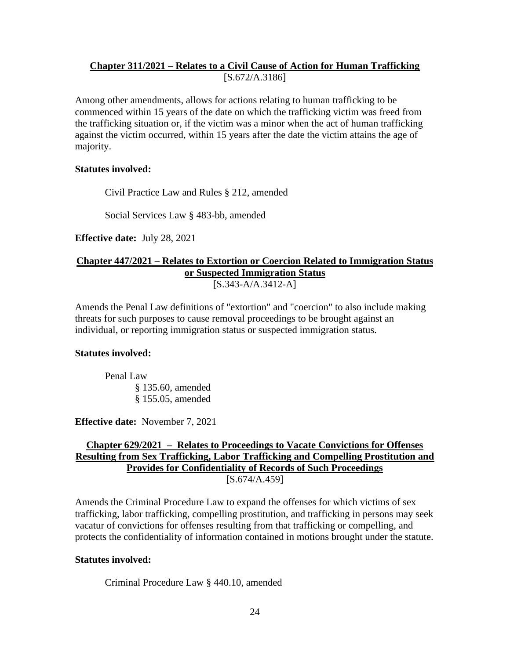# **Chapter 311/2021 – Relates to a Civil Cause of Action for Human Trafficking** [S.672/A.3186]

Among other amendments, allows for actions relating to human trafficking to be commenced within 15 years of the date on which the trafficking victim was freed from the trafficking situation or, if the victim was a minor when the act of human trafficking against the victim occurred, within 15 years after the date the victim attains the age of majority.

## **Statutes involved:**

Civil Practice Law and Rules § 212, amended

Social Services Law § 483-bb, amended

**Effective date:** July 28, 2021

## **Chapter 447/2021 – Relates to Extortion or Coercion Related to Immigration Status or Suspected Immigration Status** [S.343-A/A.3412-A]

Amends the Penal Law definitions of "extortion" and "coercion" to also include making threats for such purposes to cause removal proceedings to be brought against an individual, or reporting immigration status or suspected immigration status.

# **Statutes involved:**

Penal Law § 135.60, amended § 155.05, amended

**Effective date:** November 7, 2021

# **Chapter 629/2021 – Relates to Proceedings to Vacate Convictions for Offenses Resulting from Sex Trafficking, Labor Trafficking and Compelling Prostitution and Provides for Confidentiality of Records of Such Proceedings** [S.674/A.459]

Amends the Criminal Procedure Law to expand the offenses for which victims of sex trafficking, labor trafficking, compelling prostitution, and trafficking in persons may seek vacatur of convictions for offenses resulting from that trafficking or compelling, and protects the confidentiality of information contained in motions brought under the statute.

## **Statutes involved:**

Criminal Procedure Law § 440.10, amended